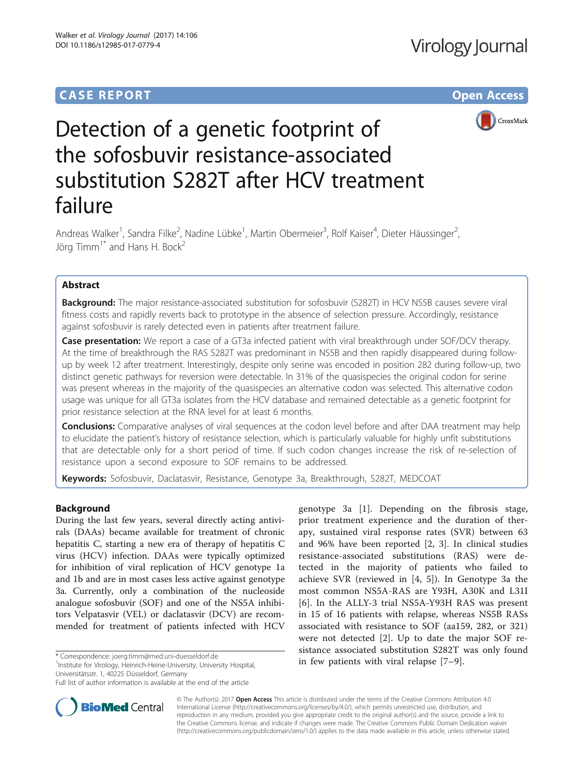# **CASE REPORT CASE REPORT CASE REPORT**



# Detection of a genetic footprint of the sofosbuvir resistance-associated substitution S282T after HCV treatment failure

Andreas Walker<sup>1</sup>, Sandra Filke<sup>2</sup>, Nadine Lübke<sup>1</sup>, Martin Obermeier<sup>3</sup>, Rolf Kaiser<sup>4</sup>, Dieter Häussinger<sup>2</sup> .<br>, Jörg Timm<sup>1\*</sup> and Hans H. Bock<sup>2</sup>

## Abstract

**Background:** The major resistance-associated substitution for sofosbuvir (S282T) in HCV NS5B causes severe viral fitness costs and rapidly reverts back to prototype in the absence of selection pressure. Accordingly, resistance against sofosbuvir is rarely detected even in patients after treatment failure.

Case presentation: We report a case of a GT3a infected patient with viral breakthrough under SOF/DCV therapy. At the time of breakthrough the RAS S282T was predominant in NS5B and then rapidly disappeared during followup by week 12 after treatment. Interestingly, despite only serine was encoded in position 282 during follow-up, two distinct genetic pathways for reversion were detectable. In 31% of the quasispecies the original codon for serine was present whereas in the majority of the quasispecies an alternative codon was selected. This alternative codon usage was unique for all GT3a isolates from the HCV database and remained detectable as a genetic footprint for prior resistance selection at the RNA level for at least 6 months.

**Conclusions:** Comparative analyses of viral sequences at the codon level before and after DAA treatment may help to elucidate the patient's history of resistance selection, which is particularly valuable for highly unfit substitutions that are detectable only for a short period of time. If such codon changes increase the risk of re-selection of resistance upon a second exposure to SOF remains to be addressed.

Keywords: Sofosbuvir, Daclatasvir, Resistance, Genotype 3a, Breakthrough, S282T, MEDCOAT

### Background

During the last few years, several directly acting antivirals (DAAs) became available for treatment of chronic hepatitis C, starting a new era of therapy of hepatitis C virus (HCV) infection. DAAs were typically optimized for inhibition of viral replication of HCV genotype 1a and 1b and are in most cases less active against genotype 3a. Currently, only a combination of the nucleoside analogue sofosbuvir (SOF) and one of the NS5A inhibitors Velpatasvir (VEL) or daclatasvir (DCV) are recommended for treatment of patients infected with HCV

**BioMed Central** 

<sup>1</sup>Institute for Virology, Heinrich-Heine-University, University Hospital, Universitätsstr. 1, 40225 Düsseldorf, Germany

Full list of author information is available at the end of the article



© The Author(s). 2017 **Open Access** This article is distributed under the terms of the Creative Commons Attribution 4.0 International License [\(http://creativecommons.org/licenses/by/4.0/](http://creativecommons.org/licenses/by/4.0/)), which permits unrestricted use, distribution, and reproduction in any medium, provided you give appropriate credit to the original author(s) and the source, provide a link to the Creative Commons license, and indicate if changes were made. The Creative Commons Public Domain Dedication waiver [\(http://creativecommons.org/publicdomain/zero/1.0/](http://creativecommons.org/publicdomain/zero/1.0/)) applies to the data made available in this article, unless otherwise stated.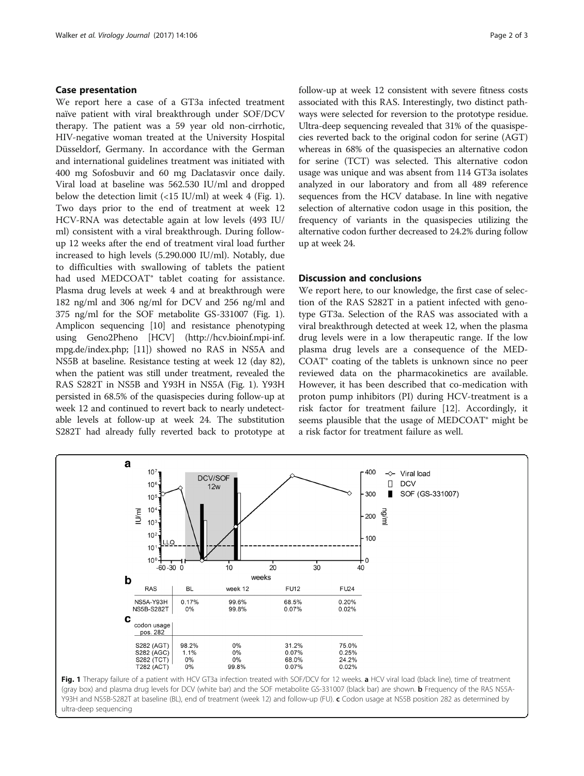#### Case presentation

We report here a case of a GT3a infected treatment naïve patient with viral breakthrough under SOF/DCV therapy. The patient was a 59 year old non-cirrhotic, HIV-negative woman treated at the University Hospital Düsseldorf, Germany. In accordance with the German and international guidelines treatment was initiated with 400 mg Sofosbuvir and 60 mg Daclatasvir once daily. Viral load at baseline was 562.530 IU/ml and dropped below the detection limit  $\left(\frac{15 \text{ IU}}{\text{m}}\right)$  at week 4 (Fig. 1). Two days prior to the end of treatment at week 12 HCV-RNA was detectable again at low levels (493 IU/ ml) consistent with a viral breakthrough. During followup 12 weeks after the end of treatment viral load further increased to high levels (5.290.000 IU/ml). Notably, due to difficulties with swallowing of tablets the patient had used MEDCOAT<sup>®</sup> tablet coating for assistance. Plasma drug levels at week 4 and at breakthrough were 182 ng/ml and 306 ng/ml for DCV and 256 ng/ml and 375 ng/ml for the SOF metabolite GS-331007 (Fig. 1). Amplicon sequencing [\[10\]](#page-2-0) and resistance phenotyping using Geno2Pheno [HCV] ([http://hcv.bioinf.mpi-inf.](http://hcv.bioinf.mpi-inf.mpg.de/index.php) [mpg.de/index.php;](http://hcv.bioinf.mpi-inf.mpg.de/index.php) [\[11\]](#page-2-0)) showed no RAS in NS5A and NS5B at baseline. Resistance testing at week 12 (day 82), when the patient was still under treatment, revealed the RAS S282T in NS5B and Y93H in NS5A (Fig. 1). Y93H persisted in 68.5% of the quasispecies during follow-up at week 12 and continued to revert back to nearly undetectable levels at follow-up at week 24. The substitution S282T had already fully reverted back to prototype at follow-up at week 12 consistent with severe fitness costs associated with this RAS. Interestingly, two distinct pathways were selected for reversion to the prototype residue. Ultra-deep sequencing revealed that 31% of the quasispecies reverted back to the original codon for serine (AGT) whereas in 68% of the quasispecies an alternative codon for serine (TCT) was selected. This alternative codon usage was unique and was absent from 114 GT3a isolates analyzed in our laboratory and from all 489 reference sequences from the HCV database. In line with negative selection of alternative codon usage in this position, the frequency of variants in the quasispecies utilizing the alternative codon further decreased to 24.2% during follow up at week 24.

#### Discussion and conclusions

We report here, to our knowledge, the first case of selection of the RAS S282T in a patient infected with genotype GT3a. Selection of the RAS was associated with a viral breakthrough detected at week 12, when the plasma drug levels were in a low therapeutic range. If the low plasma drug levels are a consequence of the MED-COAT® coating of the tablets is unknown since no peer reviewed data on the pharmacokinetics are available. However, it has been described that co-medication with proton pump inhibitors (PI) during HCV-treatment is a risk factor for treatment failure [\[12\]](#page-2-0). Accordingly, it seems plausible that the usage of MEDCOAT® might be a risk factor for treatment failure as well.



ultra-deep sequencing